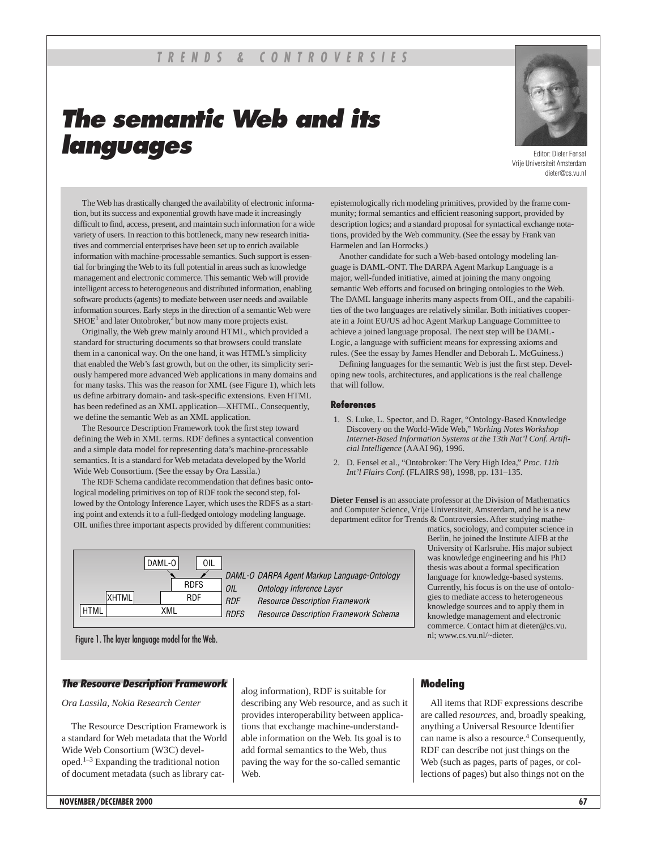# *TRENDS & CONTROVERSIES*

# *The semantic Web and its languages*



Editor: Dieter Fensel Vrije Universiteit Amsterdam dieter@cs.vu.nl

The Web has drastically changed the availability of electronic information, but its success and exponential growth have made it increasingly difficult to find, access, present, and maintain such information for a wide variety of users. In reaction to this bottleneck, many new research initiatives and commercial enterprises have been set up to enrich available information with machine-processable semantics. Such support is essential for bringing the Web to its full potential in areas such as knowledge management and electronic commerce. This semantic Web will provide intelligent access to heterogeneous and distributed information, enabling software products (agents) to mediate between user needs and available information sources. Early steps in the direction of a semantic Web were  $SHOE<sup>1</sup>$  and later Ontobroker,<sup>2</sup> but now many more projects exist.

Originally, the Web grew mainly around HTML, which provided a standard for structuring documents so that browsers could translate them in a canonical way. On the one hand, it was HTML's simplicity that enabled the Web's fast growth, but on the other, its simplicity seriously hampered more advanced Web applications in many domains and for many tasks. This was the reason for XML (see Figure 1), which lets us define arbitrary domain- and task-specific extensions. Even HTML has been redefined as an XML application—XHTML. Consequently, we define the semantic Web as an XML application.

The Resource Description Framework took the first step toward defining the Web in XML terms. RDF defines a syntactical convention and a simple data model for representing data's machine-processable semantics. It is a standard for Web metadata developed by the World Wide Web Consortium. (See the essay by Ora Lassila.)

The RDF Schema candidate recommendation that defines basic ontological modeling primitives on top of RDF took the second step, followed by the Ontology Inference Layer, which uses the RDFS as a starting point and extends it to a full-fledged ontology modeling language. OIL unifies three important aspects provided by different communities:

epistemologically rich modeling primitives, provided by the frame community; formal semantics and efficient reasoning support, provided by description logics; and a standard proposal for syntactical exchange notations, provided by the Web community. (See the essay by Frank van Harmelen and Ian Horrocks.)

Another candidate for such a Web-based ontology modeling language is DAML-ONT. The DARPA Agent Markup Language is a major, well-funded initiative, aimed at joining the many ongoing semantic Web efforts and focused on bringing ontologies to the Web. The DAML language inherits many aspects from OIL, and the capabilities of the two languages are relatively similar. Both initiatives cooperate in a Joint EU/US ad hoc Agent Markup Language Committee to achieve a joined language proposal. The next step will be DAML-Logic, a language with sufficient means for expressing axioms and rules. (See the essay by James Hendler and Deborah L. McGuiness.)

Defining languages for the semantic Web is just the first step. Developing new tools, architectures, and applications is the real challenge that will follow.

#### **References**

- 1. S. Luke, L. Spector, and D. Rager, "Ontology-Based Knowledge Discovery on the World-Wide Web," *Working Notes Workshop Internet-Based Information Systems at the 13th Nat'l Conf. Artificial Intelligence* (AAAI 96), 1996.
- 2. D. Fensel et al., "Ontobroker: The Very High Idea," *Proc. 11th Int'l Flairs Conf.* (FLAIRS 98), 1998, pp. 131–135.

**Dieter Fensel** is an associate professor at the Division of Mathematics and Computer Science, Vrije Universiteit, Amsterdam, and he is a new department editor for Trends & Controversies. After studying mathematics, sociology, and computer science in



Figure 1. The layer language model for the Web.

#### *The Resource Description Framework*

*Ora Lassila, Nokia Research Center*

The Resource Description Framework is a standard for Web metadata that the World Wide Web Consortium (W3C) developed.1–3 Expanding the traditional notion of document metadata (such as library catalog information), RDF is suitable for describing any Web resource, and as such it provides interoperability between applications that exchange machine-understandable information on the Web. Its goal is to add formal semantics to the Web, thus paving the way for the so-called semantic Web.

#### **Modeling**

nl; www.cs.vu.nl/~dieter.

All items that RDF expressions describe are called *resources*, and, broadly speaking, anything a Universal Resource Identifier can name is also a resource.<sup>4</sup> Consequently, RDF can describe not just things on the Web (such as pages, parts of pages, or collections of pages) but also things not on the

Berlin, he joined the Institute AIFB at the University of Karlsruhe. His major subject was knowledge engineering and his PhD thesis was about a formal specification language for knowledge-based systems. Currently, his focus is on the use of ontologies to mediate access to heterogeneous knowledge sources and to apply them in knowledge management and electronic commerce. Contact him at dieter@cs.vu.

#### **NOVEMBER/DECEMBER 2000 67**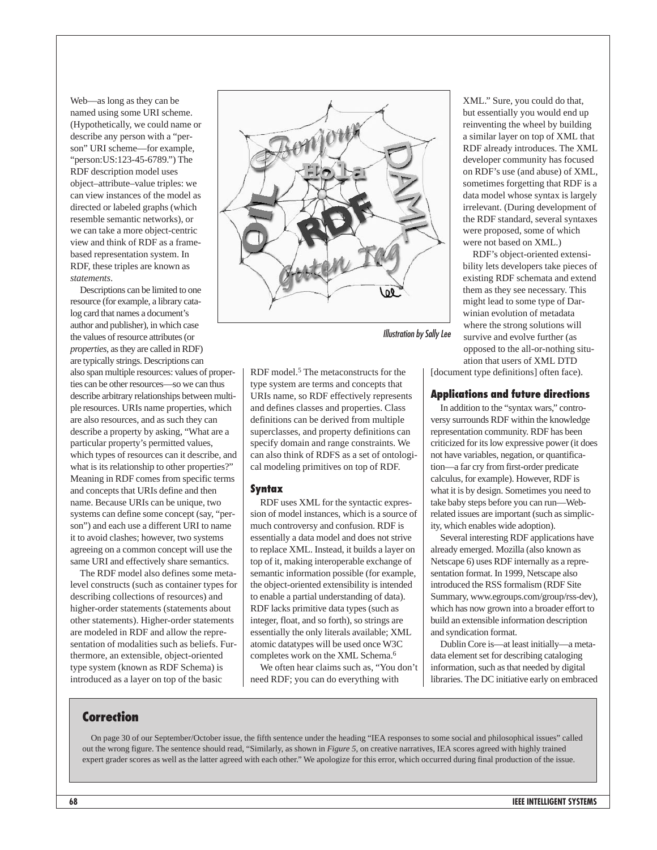Web—as long as they can be named using some URI scheme. (Hypothetically, we could name or describe any person with a "person" URI scheme—for example, "person:US:123-45-6789.") The RDF description model uses object–attribute–value triples: we can view instances of the model as directed or labeled graphs (which resemble semantic networks), or we can take a more object-centric view and think of RDF as a framebased representation system. In RDF, these triples are known as *statements*.

Descriptions can be limited to one resource (for example, a library catalog card that names a document's author and publisher), in which case the values of resource attributes (or *properties*, as they are called in RDF) are typically strings. Descriptions can also span multiple resources: values of properties can be other resources—so we can thus describe arbitrary relationships between multiple resources. URIs name properties, which are also resources, and as such they can describe a property by asking, "What are a particular property's permitted values, which types of resources can it describe, and what is its relationship to other properties?" Meaning in RDF comes from specific terms and concepts that URIs define and then name. Because URIs can be unique, two systems can define some concept (say, "person") and each use a different URI to name it to avoid clashes; however, two systems agreeing on a common concept will use the same URI and effectively share semantics.

The RDF model also defines some metalevel constructs (such as container types for describing collections of resources) and higher-order statements (statements about other statements). Higher-order statements are modeled in RDF and allow the representation of modalities such as beliefs. Furthermore, an extensible, object-oriented type system (known as RDF Schema) is introduced as a layer on top of the basic



*Illustration by Sally Lee*

RDF model.<sup>5</sup> The metaconstructs for the type system are terms and concepts that URIs name, so RDF effectively represents and defines classes and properties. Class definitions can be derived from multiple superclasses, and property definitions can specify domain and range constraints. We can also think of RDFS as a set of ontological modeling primitives on top of RDF.

#### **Syntax**

RDF uses XML for the syntactic expression of model instances, which is a source of much controversy and confusion. RDF is essentially a data model and does not strive to replace XML. Instead, it builds a layer on top of it, making interoperable exchange of semantic information possible (for example, the object-oriented extensibility is intended to enable a partial understanding of data). RDF lacks primitive data types (such as integer, float, and so forth), so strings are essentially the only literals available; XML atomic datatypes will be used once W3C completes work on the XML Schema.6

We often hear claims such as, "You don't need RDF; you can do everything with

XML." Sure, you could do that, but essentially you would end up reinventing the wheel by building a similar layer on top of XML that RDF already introduces. The XML developer community has focused on RDF's use (and abuse) of XML, sometimes forgetting that RDF is a data model whose syntax is largely irrelevant. (During development of the RDF standard, several syntaxes were proposed, some of which were not based on XML.)

RDF's object-oriented extensibility lets developers take pieces of existing RDF schemata and extend them as they see necessary. This might lead to some type of Darwinian evolution of metadata where the strong solutions will survive and evolve further (as opposed to the all-or-nothing situation that users of XML DTD

[document type definitions] often face).

#### **Applications and future directions**

In addition to the "syntax wars," controversy surrounds RDF within the knowledge representation community. RDF has been criticized for its low expressive power (it does not have variables, negation, or quantification—a far cry from first-order predicate calculus, for example). However, RDF is what it is by design. Sometimes you need to take baby steps before you can run—Webrelated issues are important (such as simplicity, which enables wide adoption).

Several interesting RDF applications have already emerged. Mozilla (also known as Netscape 6) uses RDF internally as a representation format. In 1999, Netscape also introduced the RSS formalism (RDF Site Summary, www.egroups.com/group/rss-dev), which has now grown into a broader effort to build an extensible information description and syndication format.

Dublin Core is—at least initially—a metadata element set for describing cataloging information, such as that needed by digital libraries. The DC initiative early on embraced

# **Correction**

On page 30 of our September/October issue, the fifth sentence under the heading "IEA responses to some social and philosophical issues" called out the wrong figure. The sentence should read, "Similarly, as shown in *Figure 5*, on creative narratives, IEA scores agreed with highly trained expert grader scores as well as the latter agreed with each other." We apologize for this error, which occurred during final production of the issue.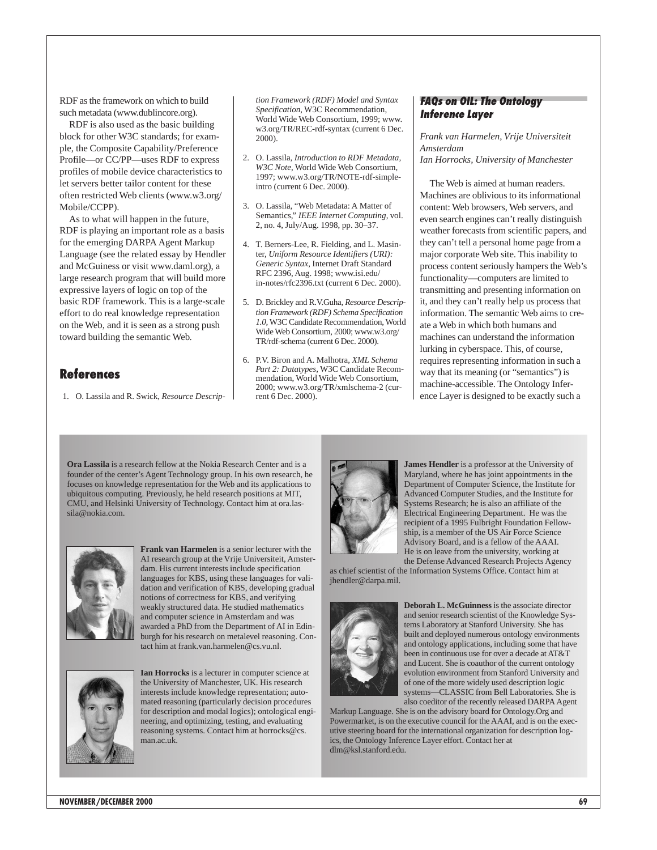RDF as the framework on which to build such metadata (www.dublincore.org).

RDF is also used as the basic building block for other W3C standards; for example, the Composite Capability/Preference Profile—or CC/PP—uses RDF to express profiles of mobile device characteristics to let servers better tailor content for these often restricted Web clients (www.w3.org/ Mobile/CCPP).

As to what will happen in the future, RDF is playing an important role as a basis for the emerging DARPA Agent Markup Language (see the related essay by Hendler and McGuiness or visit www.daml.org), a large research program that will build more expressive layers of logic on top of the basic RDF framework. This is a large-scale effort to do real knowledge representation on the Web, and it is seen as a strong push toward building the semantic Web.

# **References**

1. O. Lassila and R. Swick, *Resource Descrip-*

*tion Framework (RDF) Model and Syntax Specification*, W3C Recommendation, World Wide Web Consortium, 1999; www. w3.org/TR/REC-rdf-syntax (current 6 Dec. 2000).

- 2. O. Lassila, *Introduction to RDF Metadata, W3C Note*, World Wide Web Consortium, 1997; www.w3.org/TR/NOTE-rdf-simpleintro (current 6 Dec. 2000).
- 3. O. Lassila, "Web Metadata: A Matter of Semantics," *IEEE Internet Computing*, vol. 2, no. 4, July/Aug. 1998, pp. 30–37.
- 4. T. Berners-Lee, R. Fielding, and L. Masinter, *Uniform Resource Identifiers (URI): Generic Syntax*, Internet Draft Standard RFC 2396, Aug. 1998; www.isi.edu/ in-notes/rfc2396.txt (current 6 Dec. 2000).
- 5. D. Brickley and R.V.Guha, *Resource Description Framework (RDF) Schema Specification 1.0,*W3C Candidate Recommendation, World Wide Web Consortium, 2000; www.w3.org/ TR/rdf-schema (current 6 Dec. 2000).
- 6. P.V. Biron and A. Malhotra, *XML Schema Part 2: Datatypes,* W3C Candidate Recommendation, World Wide Web Consortium, 2000; www.w3.org/TR/xmlschema-2 (current 6 Dec. 2000).

# *FAQs on OIL: The Ontology Inference Layer*

*Frank van Harmelen, Vrije Universiteit Amsterdam Ian Horrocks, University of Manchester* 

The Web is aimed at human readers. Machines are oblivious to its informational content: Web browsers, Web servers, and even search engines can't really distinguish weather forecasts from scientific papers, and they can't tell a personal home page from a major corporate Web site. This inability to process content seriously hampers the Web's functionality—computers are limited to transmitting and presenting information on it, and they can't really help us process that information. The semantic Web aims to create a Web in which both humans and machines can understand the information lurking in cyberspace. This, of course, requires representing information in such a way that its meaning (or "semantics") is machine-accessible. The Ontology Inference Layer is designed to be exactly such a

**Ora Lassila** is a research fellow at the Nokia Research Center and is a founder of the center's Agent Technology group. In his own research, he focuses on knowledge representation for the Web and its applications to ubiquitous computing. Previously, he held research positions at MIT, CMU, and Helsinki University of Technology. Contact him at ora.lassila@nokia.com.



**Frank van Harmelen** is a senior lecturer with the AI research group at the Vrije Universiteit, Amsterdam. His current interests include specification languages for KBS, using these languages for validation and verification of KBS, developing gradual notions of correctness for KBS, and verifying weakly structured data. He studied mathematics and computer science in Amsterdam and was awarded a PhD from the Department of AI in Edinburgh for his research on metalevel reasoning. Contact him at frank.van.harmelen@cs.vu.nl.



**Ian Horrocks** is a lecturer in computer science at the University of Manchester, UK. His research interests include knowledge representation; automated reasoning (particularly decision procedures for description and modal logics); ontological engineering, and optimizing, testing, and evaluating reasoning systems. Contact him at horrocks@cs. man.ac.uk.



**James Hendler** is a professor at the University of Maryland, where he has joint appointments in the Department of Computer Science, the Institute for Advanced Computer Studies, and the Institute for Systems Research; he is also an affiliate of the Electrical Engineering Department. He was the recipient of a 1995 Fulbright Foundation Fellowship, is a member of the US Air Force Science Advisory Board, and is a fellow of the AAAI. He is on leave from the university, working at the Defense Advanced Research Projects Agency

as chief scientist of the Information Systems Office. Contact him at jhendler@darpa.mil.



**Deborah L. McGuinness** is the associate director and senior research scientist of the Knowledge Systems Laboratory at Stanford University. She has built and deployed numerous ontology environments and ontology applications, including some that have been in continuous use for over a decade at AT&T and Lucent. She is coauthor of the current ontology evolution environment from Stanford University and of one of the more widely used description logic systems—CLASSIC from Bell Laboratories. She is also coeditor of the recently released DARPA Agent

Markup Language. She is on the advisory board for Ontology.Org and Powermarket, is on the executive council for the AAAI, and is on the executive steering board for the international organization for description logics, the Ontology Inference Layer effort. Contact her at dlm@ksl.stanford.edu.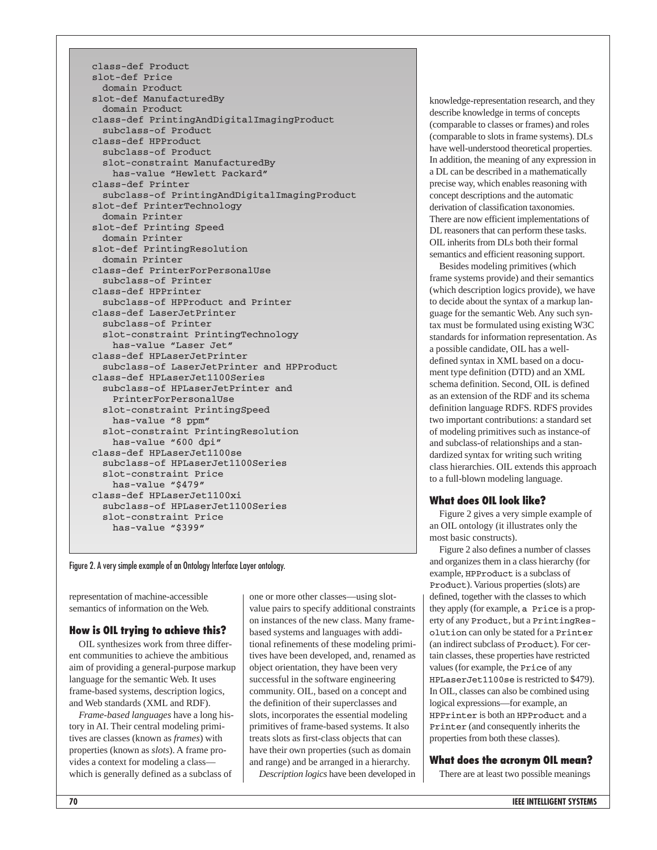class-def Product slot-def Price domain Product slot-def ManufacturedBy domain Product class-def PrintingAndDigitalImagingProduct subclass-of Product class-def HPProduct subclass-of Product slot-constraint ManufacturedBy has-value "Hewlett Packard" class-def Printer subclass-of PrintingAndDigitalImagingProduct slot-def PrinterTechnology domain Printer slot-def Printing Speed domain Printer slot-def PrintingResolution domain Printer class-def PrinterForPersonalUse subclass-of Printer class-def HPPrinter subclass-of HPProduct and Printer class-def LaserJetPrinter subclass-of Printer slot-constraint PrintingTechnology has-value "Laser Jet" class-def HPLaserJetPrinter subclass-of LaserJetPrinter and HPProduct class-def HPLaserJet1100Series subclass-of HPLaserJetPrinter and PrinterForPersonalUse slot-constraint PrintingSpeed has-value "8 ppm" slot-constraint PrintingResolution has-value "600 dpi" class-def HPLaserJet1100se subclass-of HPLaserJet1100Series slot-constraint Price has-value "\$479" class-def HPLaserJet1100xi subclass-of HPLaserJet1100Series slot-constraint Price has-value "\$399"

Figure 2. A very simple example of an Ontology Interface Layer ontology.

representation of machine-accessible semantics of information on the Web.

# **How is OIL trying to achieve this?**

OIL synthesizes work from three different communities to achieve the ambitious aim of providing a general-purpose markup language for the semantic Web. It uses frame-based systems, description logics, and Web standards (XML and RDF).

*Frame-based languages* have a long history in AI. Their central modeling primitives are classes (known as *frames*) with properties (known as *slots*). A frame provides a context for modeling a class which is generally defined as a subclass of

one or more other classes—using slotvalue pairs to specify additional constraints on instances of the new class. Many framebased systems and languages with additional refinements of these modeling primitives have been developed, and, renamed as object orientation, they have been very successful in the software engineering community. OIL, based on a concept and the definition of their superclasses and slots, incorporates the essential modeling primitives of frame-based systems. It also treats slots as first-class objects that can have their own properties (such as domain and range) and be arranged in a hierarchy.

*Description logics* have been developed in

knowledge-representation research, and they describe knowledge in terms of concepts (comparable to classes or frames) and roles (comparable to slots in frame systems). DLs have well-understood theoretical properties. In addition, the meaning of any expression in a DL can be described in a mathematically precise way, which enables reasoning with concept descriptions and the automatic derivation of classification taxonomies. There are now efficient implementations of DL reasoners that can perform these tasks. OIL inherits from DLs both their formal semantics and efficient reasoning support.

Besides modeling primitives (which frame systems provide) and their semantics (which description logics provide), we have to decide about the syntax of a markup language for the semantic Web. Any such syntax must be formulated using existing W3C standards for information representation. As a possible candidate, OIL has a welldefined syntax in XML based on a document type definition (DTD) and an XML schema definition. Second, OIL is defined as an extension of the RDF and its schema definition language RDFS. RDFS provides two important contributions: a standard set of modeling primitives such as instance-of and subclass-of relationships and a standardized syntax for writing such writing class hierarchies. OIL extends this approach to a full-blown modeling language.

## **What does OIL look like?**

Figure 2 gives a very simple example of an OIL ontology (it illustrates only the most basic constructs).

Figure 2 also defines a number of classes and organizes them in a class hierarchy (for example, HPProduct is a subclass of Product). Various properties (slots) are defined, together with the classes to which they apply (for example, a Price is a property of any Product, but a PrintingResolution can only be stated for a Printer (an indirect subclass of Product). For certain classes, these properties have restricted values (for example, the Price of any HPLaserJet1100se is restricted to \$479). In OIL, classes can also be combined using logical expressions—for example, an HPPrinter is both an HPProduct and a Printer (and consequently inherits the properties from both these classes).

## **What does the acronym OIL mean?**

There are at least two possible meanings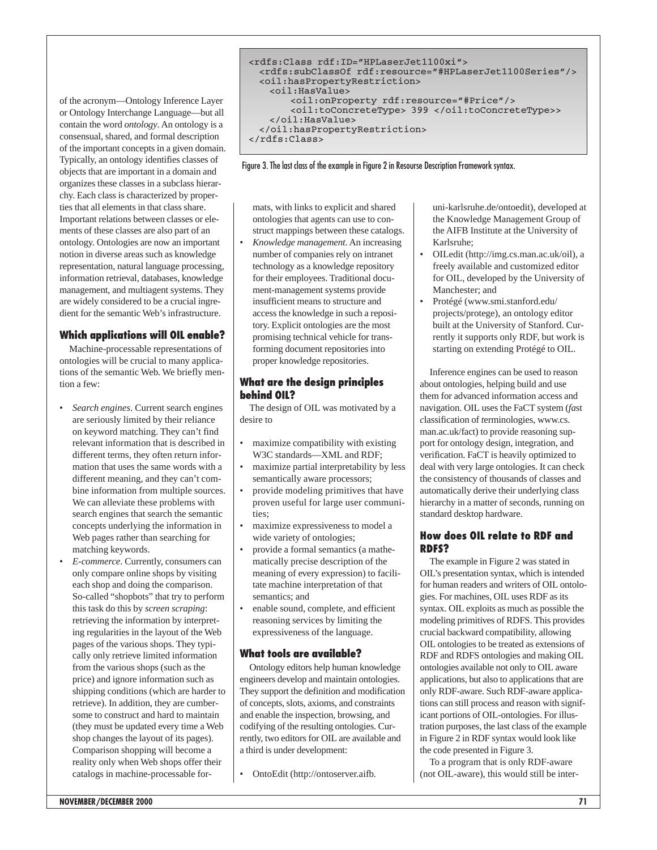of the acronym—Ontology Inference Layer or Ontology Interchange Language—but all contain the word *ontology*. An ontology is a consensual, shared, and formal description of the important concepts in a given domain. Typically, an ontology identifies classes of objects that are important in a domain and organizes these classes in a subclass hierarchy. Each class is characterized by properties that all elements in that class share. Important relations between classes or elements of these classes are also part of an ontology. Ontologies are now an important notion in diverse areas such as knowledge representation, natural language processing, information retrieval, databases, knowledge management, and multiagent systems. They are widely considered to be a crucial ingredient for the semantic Web's infrastructure.

#### **Which applications will OIL enable?**

Machine-processable representations of ontologies will be crucial to many applications of the semantic Web. We briefly mention a few:

- *Search engines*. Current search engines are seriously limited by their reliance on keyword matching. They can't find relevant information that is described in different terms, they often return information that uses the same words with a different meaning, and they can't combine information from multiple sources. We can alleviate these problems with search engines that search the semantic concepts underlying the information in Web pages rather than searching for matching keywords.
- *E-commerce*. Currently, consumers can only compare online shops by visiting each shop and doing the comparison. So-called "shopbots" that try to perform this task do this by *screen scraping*: retrieving the information by interpreting regularities in the layout of the Web pages of the various shops. They typically only retrieve limited information from the various shops (such as the price) and ignore information such as shipping conditions (which are harder to retrieve). In addition, they are cumbersome to construct and hard to maintain (they must be updated every time a Web shop changes the layout of its pages). Comparison shopping will become a reality only when Web shops offer their catalogs in machine-processable for-

```
<rdfs:Class rdf:ID="HPLaserJet1100xi">
 <rdfs:subClassOf rdf:resource="#HPLaserJet1100Series"/>
 <oil:hasPropertyRestriction>
   <oil:HasValue>
       <oil:onProperty rdf:resource="#Price"/>
       <oil:toConcreteType> 399 </oil:toConcreteType>>
   </oil:HasValue>
  </oil:hasPropertyRestriction>
</rdfs:Class>
```


mats, with links to explicit and shared ontologies that agents can use to construct mappings between these catalogs.

• *Knowledge management*. An increasing number of companies rely on intranet technology as a knowledge repository for their employees. Traditional document-management systems provide insufficient means to structure and access the knowledge in such a repository. Explicit ontologies are the most promising technical vehicle for transforming document repositories into proper knowledge repositories.

#### **What are the design principles behind OIL?**

The design of OIL was motivated by a desire to

- maximize compatibility with existing W3C standards—XML and RDF;
- maximize partial interpretability by less semantically aware processors;
- provide modeling primitives that have proven useful for large user communities;
- maximize expressiveness to model a wide variety of ontologies;
- provide a formal semantics (a mathematically precise description of the meaning of every expression) to facilitate machine interpretation of that semantics; and
- enable sound, complete, and efficient reasoning services by limiting the expressiveness of the language.

#### **What tools are available?**

Ontology editors help human knowledge engineers develop and maintain ontologies. They support the definition and modification of concepts, slots, axioms, and constraints and enable the inspection, browsing, and codifying of the resulting ontologies. Currently, two editors for OIL are available and a third is under development:

• OntoEdit (http://ontoserver.aifb.

uni-karlsruhe.de/ontoedit), developed at the Knowledge Management Group of the AIFB Institute at the University of Karlsruhe;

- OILedit (http://img.cs.man.ac.uk/oil), a freely available and customized editor for OIL, developed by the University of Manchester; and
- Protégé (www.smi.stanford.edu/ projects/protege), an ontology editor built at the University of Stanford. Currently it supports only RDF, but work is starting on extending Protégé to OIL.

Inference engines can be used to reason about ontologies, helping build and use them for advanced information access and navigation. OIL uses the FaCT system (*fa*st *c*lassification of *t*erminologies, www.cs. man.ac.uk/fact) to provide reasoning support for ontology design, integration, and verification. FaCT is heavily optimized to deal with very large ontologies. It can check the consistency of thousands of classes and automatically derive their underlying class hierarchy in a matter of seconds, running on standard desktop hardware.

#### **How does OIL relate to RDF and RDFS?**

The example in Figure 2 was stated in OIL's presentation syntax, which is intended for human readers and writers of OIL ontologies. For machines, OIL uses RDF as its syntax. OIL exploits as much as possible the modeling primitives of RDFS. This provides crucial backward compatibility, allowing OIL ontologies to be treated as extensions of RDF and RDFS ontologies and making OIL ontologies available not only to OIL aware applications, but also to applications that are only RDF-aware. Such RDF-aware applications can still process and reason with significant portions of OIL-ontologies. For illustration purposes, the last class of the example in Figure 2 in RDF syntax would look like the code presented in Figure 3.

To a program that is only RDF-aware (not OIL-aware), this would still be inter-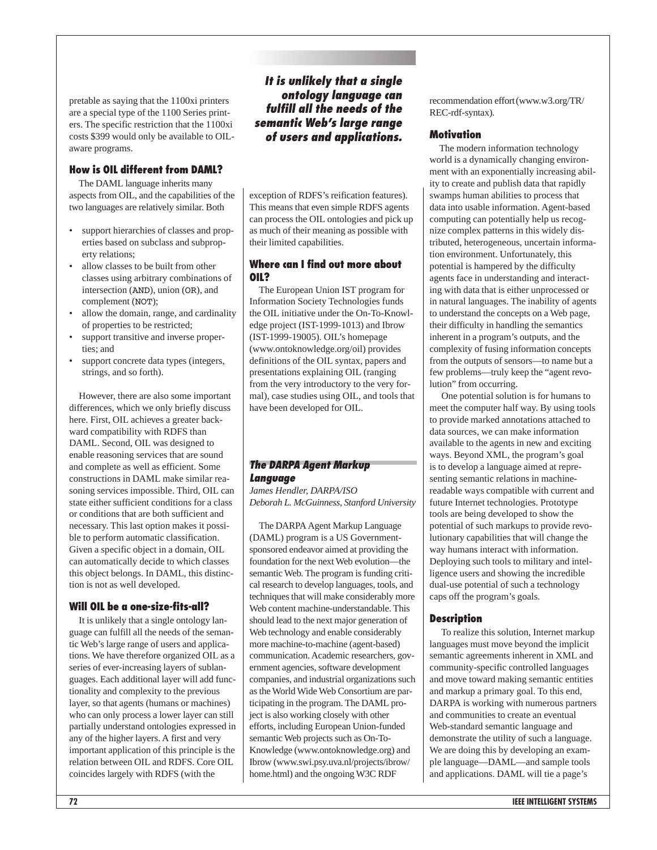pretable as saying that the 1100xi printers are a special type of the 1100 Series printers. The specific restriction that the 1100xi costs \$399 would only be available to OILaware programs.

#### **How is OIL different from DAML?**

The DAML language inherits many aspects from OIL, and the capabilities of the two languages are relatively similar. Both

- support hierarchies of classes and properties based on subclass and subproperty relations;
- allow classes to be built from other classes using arbitrary combinations of intersection (AND), union (OR), and complement (NOT);
- allow the domain, range, and cardinality of properties to be restricted;
- support transitive and inverse properties; and
- support concrete data types (integers, strings, and so forth).

However, there are also some important differences, which we only briefly discuss here. First, OIL achieves a greater backward compatibility with RDFS than DAML. Second, OIL was designed to enable reasoning services that are sound and complete as well as efficient. Some constructions in DAML make similar reasoning services impossible. Third, OIL can state either sufficient conditions for a class or conditions that are both sufficient and necessary. This last option makes it possible to perform automatic classification. Given a specific object in a domain, OIL can automatically decide to which classes this object belongs. In DAML, this distinction is not as well developed.

#### **Will OIL be a one-size-fits-all?**

It is unlikely that a single ontology language can fulfill all the needs of the semantic Web's large range of users and applications. We have therefore organized OIL as a series of ever-increasing layers of sublanguages. Each additional layer will add functionality and complexity to the previous layer, so that agents (humans or machines) who can only process a lower layer can still partially understand ontologies expressed in any of the higher layers. A first and very important application of this principle is the relation between OIL and RDFS. Core OIL coincides largely with RDFS (with the

# *It is unlikely that a single ontology language can fulfill all the needs of the semantic Web's large range of users and applications.*

exception of RDFS's reification features). This means that even simple RDFS agents can process the OIL ontologies and pick up as much of their meaning as possible with their limited capabilities.

#### **Where can I find out more about OIL?**

The European Union IST program for Information Society Technologies funds the OIL initiative under the On-To-Knowledge project (IST-1999-1013) and Ibrow (IST-1999-19005). OIL's homepage (www.ontoknowledge.org/oil) provides definitions of the OIL syntax, papers and presentations explaining OIL (ranging from the very introductory to the very formal), case studies using OIL, and tools that have been developed for OIL.

## *The DARPA Agent Markup Language*

*James Hendler, DARPA/ISO Deborah L. McGuinness, Stanford University*

The DARPA Agent Markup Language (DAML) program is a US Governmentsponsored endeavor aimed at providing the foundation for the next Web evolution—the semantic Web. The program is funding critical research to develop languages, tools, and techniques that will make considerably more Web content machine-understandable. This should lead to the next major generation of Web technology and enable considerably more machine-to-machine (agent-based) communication. Academic researchers, government agencies, software development companies, and industrial organizations such as the World Wide Web Consortium are participating in the program. The DAML project is also working closely with other efforts, including European Union-funded semantic Web projects such as On-To-Knowledge (www.ontoknowledge.org) and Ibrow (www.swi.psy.uva.nl/projects/ibrow/ home.html) and the ongoing W3C RDF

recommendation effort(www.w3.org/TR/ REC-rdf-syntax).

#### **Motivation**

The modern information technology world is a dynamically changing environment with an exponentially increasing ability to create and publish data that rapidly swamps human abilities to process that data into usable information. Agent-based computing can potentially help us recognize complex patterns in this widely distributed, heterogeneous, uncertain information environment. Unfortunately, this potential is hampered by the difficulty agents face in understanding and interacting with data that is either unprocessed or in natural languages. The inability of agents to understand the concepts on a Web page, their difficulty in handling the semantics inherent in a program's outputs, and the complexity of fusing information concepts from the outputs of sensors—to name but a few problems—truly keep the "agent revolution" from occurring.

One potential solution is for humans to meet the computer half way. By using tools to provide marked annotations attached to data sources, we can make information available to the agents in new and exciting ways. Beyond XML, the program's goal is to develop a language aimed at representing semantic relations in machinereadable ways compatible with current and future Internet technologies. Prototype tools are being developed to show the potential of such markups to provide revolutionary capabilities that will change the way humans interact with information. Deploying such tools to military and intelligence users and showing the incredible dual-use potential of such a technology caps off the program's goals.

#### **Description**

To realize this solution, Internet markup languages must move beyond the implicit semantic agreements inherent in XML and community-specific controlled languages and move toward making semantic entities and markup a primary goal. To this end, DARPA is working with numerous partners and communities to create an eventual Web-standard semantic language and demonstrate the utility of such a language. We are doing this by developing an example language—DAML—and sample tools and applications. DAML will tie a page's